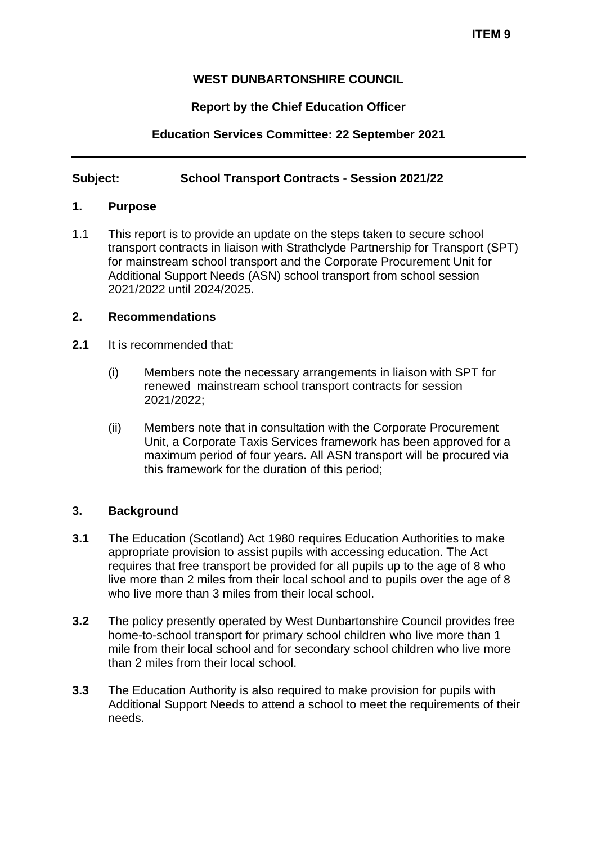## **WEST DUNBARTONSHIRE COUNCIL**

### **Report by the Chief Education Officer**

## **Education Services Committee: 22 September 2021**

### **Subject: School Transport Contracts - Session 2021/22**

#### **1. Purpose**

1.1 This report is to provide an update on the steps taken to secure school transport contracts in liaison with Strathclyde Partnership for Transport (SPT) for mainstream school transport and the Corporate Procurement Unit for Additional Support Needs (ASN) school transport from school session 2021/2022 until 2024/2025.

#### **2. Recommendations**

- **2.1** It is recommended that:
	- (i) Members note the necessary arrangements in liaison with SPT for renewed mainstream school transport contracts for session 2021/2022;
	- (ii) Members note that in consultation with the Corporate Procurement Unit, a Corporate Taxis Services framework has been approved for a maximum period of four years. All ASN transport will be procured via this framework for the duration of this period;

#### **3. Background**

- **3.1** The Education (Scotland) Act 1980 requires Education Authorities to make appropriate provision to assist pupils with accessing education. The Act requires that free transport be provided for all pupils up to the age of 8 who live more than 2 miles from their local school and to pupils over the age of 8 who live more than 3 miles from their local school.
- **3.2** The policy presently operated by West Dunbartonshire Council provides free home-to-school transport for primary school children who live more than 1 mile from their local school and for secondary school children who live more than 2 miles from their local school.
- **3.3** The Education Authority is also required to make provision for pupils with Additional Support Needs to attend a school to meet the requirements of their needs.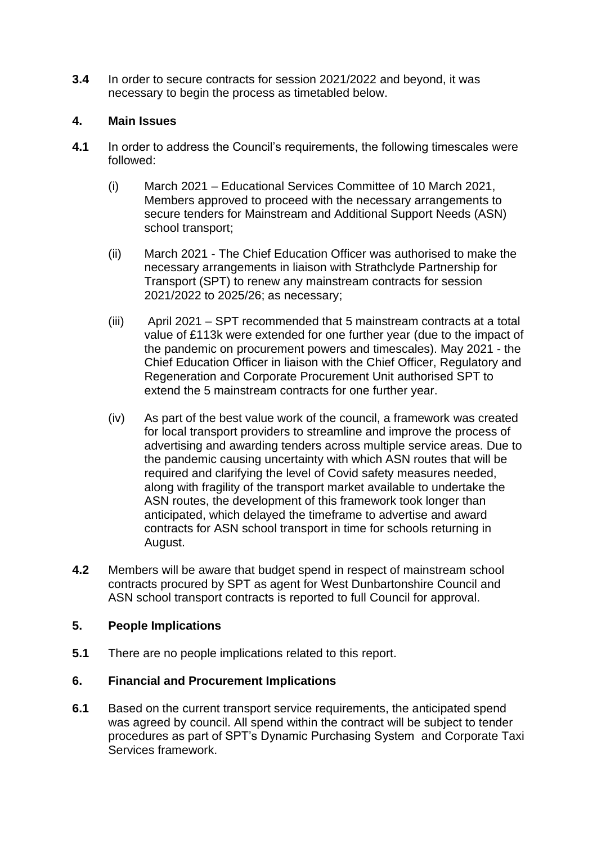**3.4** In order to secure contracts for session 2021/2022 and beyond, it was necessary to begin the process as timetabled below.

### **4. Main Issues**

- **4.1** In order to address the Council's requirements, the following timescales were followed:
	- (i) March 2021 Educational Services Committee of 10 March 2021, Members approved to proceed with the necessary arrangements to secure tenders for Mainstream and Additional Support Needs (ASN) school transport;
	- (ii) March 2021 The Chief Education Officer was authorised to make the necessary arrangements in liaison with Strathclyde Partnership for Transport (SPT) to renew any mainstream contracts for session 2021/2022 to 2025/26; as necessary;
	- (iii) April 2021 SPT recommended that 5 mainstream contracts at a total value of £113k were extended for one further year (due to the impact of the pandemic on procurement powers and timescales). May 2021 - the Chief Education Officer in liaison with the Chief Officer, Regulatory and Regeneration and Corporate Procurement Unit authorised SPT to extend the 5 mainstream contracts for one further year.
	- (iv) As part of the best value work of the council, a framework was created for local transport providers to streamline and improve the process of advertising and awarding tenders across multiple service areas. Due to the pandemic causing uncertainty with which ASN routes that will be required and clarifying the level of Covid safety measures needed, along with fragility of the transport market available to undertake the ASN routes, the development of this framework took longer than anticipated, which delayed the timeframe to advertise and award contracts for ASN school transport in time for schools returning in August.
- **4.2** Members will be aware that budget spend in respect of mainstream school contracts procured by SPT as agent for West Dunbartonshire Council and ASN school transport contracts is reported to full Council for approval.

# **5. People Implications**

**5.1** There are no people implications related to this report.

# **6. Financial and Procurement Implications**

**6.1** Based on the current transport service requirements, the anticipated spend was agreed by council. All spend within the contract will be subject to tender procedures as part of SPT's Dynamic Purchasing System and Corporate Taxi Services framework.